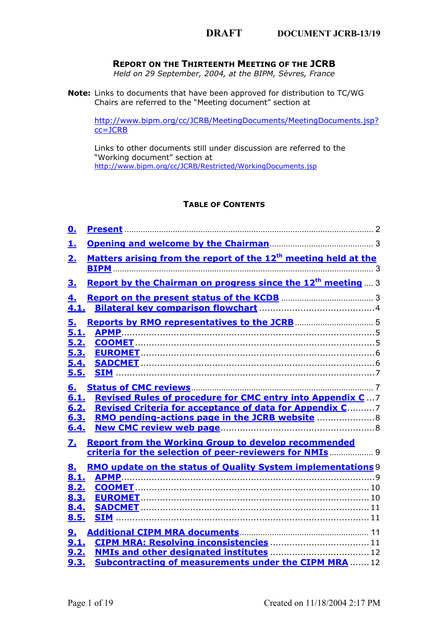# <span id="page-0-0"></span>**REPORT ON THE THIRTEENTH MEETING OF THE JCRB**

*Held on 29 September, 2004, at the BIPM, Sèvres, France*

**Note:** Links to documents that have been approved for distribution to TC/WG Chairs are referred to the "Meeting document" section at

[http://ww](https://www.bipm.org/cc/JCRB/MeetingDocuments/MeetingDocuments.jsp?cc=JCRB)w.bipm.org/cc/JCRB/MeetingDocuments/MeetingDocuments.jsp? cc=JCRB

Links to other documents still under discussion are referred to the ["Working document" section at](https://www.bipm.org/cc/JCRB/Restricted/WorkingDocuments.jsp) http://www.bipm.org/cc/JCRB/Restricted/WorkingDocuments.jsp

# **TABLE OF CONTENTS**

| <u>0.</u>                                         |                                                                                                                                                                                                                                                                                                                                                                                                                             |  |
|---------------------------------------------------|-----------------------------------------------------------------------------------------------------------------------------------------------------------------------------------------------------------------------------------------------------------------------------------------------------------------------------------------------------------------------------------------------------------------------------|--|
| 圡                                                 |                                                                                                                                                                                                                                                                                                                                                                                                                             |  |
| 2 <sub>1</sub>                                    | Matters arising from the report of the 12 <sup>th</sup> meeting held at the                                                                                                                                                                                                                                                                                                                                                 |  |
| <u>3.</u>                                         | <b>Report by the Chairman on progress since the 12<sup>th</sup> meeting</b> 3                                                                                                                                                                                                                                                                                                                                               |  |
| <u>4.</u><br>4.1.                                 |                                                                                                                                                                                                                                                                                                                                                                                                                             |  |
| 5.<br>5.1.<br>5.2.                                |                                                                                                                                                                                                                                                                                                                                                                                                                             |  |
| 5.3.<br>5.4.<br>5.5.                              |                                                                                                                                                                                                                                                                                                                                                                                                                             |  |
| <u>6.</u><br>6.1.<br>6.2.<br>6.3.<br>6.4.         | <b>Status of CMC reviews</b> 2000 and 2000 and 2000 and 2000 and 2000 and 2000 and 2000 and 2000 and 2000 and 2000 and 2000 and 2000 and 2000 and 2000 and 2000 and 2000 and 2000 and 2000 and 2000 and 2000 and 2000 and 2000 and<br><b>Revised Rules of procedure for CMC entry into Appendix C7</b><br><b>Revised Criteria for acceptance of data for Appendix C7</b><br>RMO pending-actions page in the JCRB website  8 |  |
| $\mathbf{Z}_{\bullet}$                            | <b>Report from the Working Group to develop recommended</b><br>criteria for the selection of peer-reviewers for NMIs  9                                                                                                                                                                                                                                                                                                     |  |
| <u>8.</u><br>8.1.<br>8.2.<br>8.3.<br>8.4.<br>8.5. | <b>RMO update on the status of Quality System implementations 9</b>                                                                                                                                                                                                                                                                                                                                                         |  |
| <u>9.</u><br>9.1.<br>9.2.<br>9.3.                 | <b>Subcontracting of measurements under the CIPM MRA 12</b>                                                                                                                                                                                                                                                                                                                                                                 |  |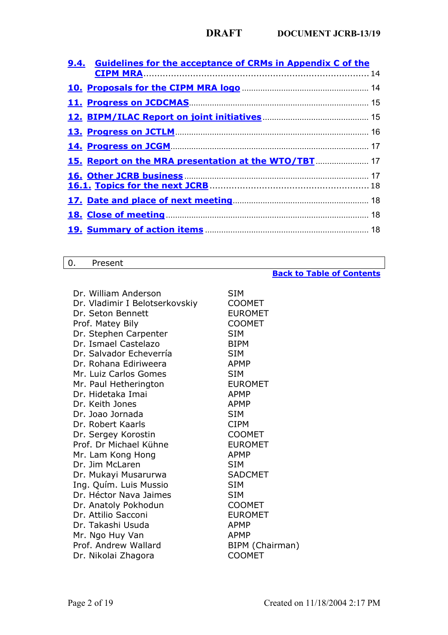| 9.4. Guidelines for the acceptance of CRMs in Appendix C of the |  |
|-----------------------------------------------------------------|--|
| <b>CIPM MRA</b> 14                                              |  |
|                                                                 |  |
| 11. Progress on JCDCMAS <b>Example 20</b> 15                    |  |
|                                                                 |  |
|                                                                 |  |
|                                                                 |  |
| 15. Report on the MRA presentation at the WTO/TBT  17           |  |
|                                                                 |  |
|                                                                 |  |
|                                                                 |  |
|                                                                 |  |

# <span id="page-1-0"></span>0. Present

# **Back to Table of Contents**

| Dr. William Anderson           | SIM             |
|--------------------------------|-----------------|
| Dr. Vladimir I Belotserkovskiy | <b>COOMET</b>   |
| Dr. Seton Bennett              | <b>EUROMET</b>  |
| Prof. Matey Bily               | <b>COOMET</b>   |
| Dr. Stephen Carpenter          | <b>SIM</b>      |
| Dr. Ismael Castelazo           | <b>BIPM</b>     |
| Dr. Salvador Echeverría        | <b>SIM</b>      |
| Dr. Rohana Ediriweera          | <b>APMP</b>     |
| Mr. Luiz Carlos Gomes          | <b>SIM</b>      |
| Mr. Paul Hetherington          | <b>EUROMET</b>  |
| Dr. Hidetaka Imai              | APMP            |
| Dr. Keith Jones                | <b>APMP</b>     |
| Dr. Joao Jornada               | <b>SIM</b>      |
| Dr. Robert Kaarls              | <b>CIPM</b>     |
| Dr. Sergey Korostin            | <b>COOMET</b>   |
| Prof. Dr Michael Kühne         | <b>EUROMET</b>  |
| Mr. Lam Kong Hong              | <b>APMP</b>     |
| Dr. Jim McLaren                | <b>SIM</b>      |
| Dr. Mukayi Musarurwa           | <b>SADCMET</b>  |
| Ing. Quím. Luis Mussio         | <b>SIM</b>      |
| Dr. Héctor Nava Jaimes         | <b>SIM</b>      |
| Dr. Anatoly Pokhodun           | <b>COOMET</b>   |
| Dr. Attilio Sacconi            | <b>EUROMET</b>  |
| Dr. Takashi Usuda              | APMP            |
| Mr. Ngo Huy Van                | APMP            |
| Prof. Andrew Wallard           | BIPM (Chairman) |
| Dr. Nikolai Zhagora            | <b>COOMET</b>   |
|                                |                 |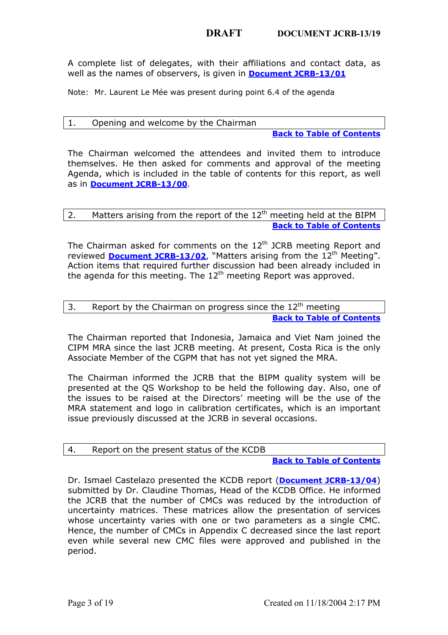A complete list of delegates, with their affiliations and contact data, as well as the names of observers, is given in **Document JCRB-13/01**

<span id="page-2-0"></span>Note: Mr. Laurent Le Mée was present during point 6.4 of the agenda

# 1. Opening and welcome by the Chairman

**Back to Table of Contents**

<span id="page-2-1"></span>The [Chairman welcomed th](https://www.bipm.org/cc/JCRB/MeetingDocuments/13/13_00_Agenda_20040929.pdf)e attendees and invited them to introduce themselves. He then asked for comments and approval of the meeting Agenda, which is included in the table of contents for this report, as well as in **Document JCRB-13/00**.

# 2. Matters arising from the report of the  $12<sup>th</sup>$  meeting held at the BIPM **Back to Table of Contents**

<span id="page-2-2"></span>The Chairman asked for comments on the  $12<sup>th</sup>$  JCRB meeting Report and reviewed **Document JCRB-13/02**, "Matters arising from the 12<sup>th</sup> Meeting". Action items that required further discussion had been already included in the agenda for this meeting. The  $12<sup>th</sup>$  meeting Report was approved.

# 3. Report by the Chairman on progress since the  $12<sup>th</sup>$  meeting **Back to Table of Contents**

The Chairman reported that Indonesia, Jamaica and Viet Nam joined the CIPM MRA since the last JCRB meeting. At present, Costa Rica is the only Associate Member of the CGPM that has not yet signed the MRA.

The Chairman informed the JCRB that the BIPM quality system will be presented at the QS Workshop to be held the following day. Also, one of the issues to be raised at the Directors' meeting will be the use of the MRA statement and logo in calibration certificates, which is an important issue previously discussed at the JCRB in several occasions.

# <span id="page-2-3"></span>4. Report on the present status of the KCDB

# **Back to Table of Contents**

Dr. Ismael Castelazo presented the KCDB report (**Document JCRB-13/04**) submitted by Dr. Claudine Thomas, Head of the KCDB Office. He informed the JCRB that the number of CMCs was reduced by the introduction of uncertainty matrices. These matrices allow the presentation of services whose uncertainty varies with one or two parameters as a single CMC. Hence, the number of CMCs in Appendix C decreased since the last report even while several new CMC files were approved and published in the period.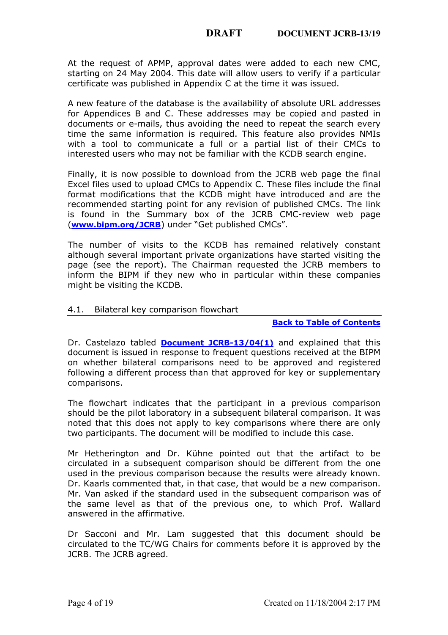At the request of APMP, approval dates were added to each new CMC, starting on 24 May 2004. This date will allow users to verify if a particular certificate was published in Appendix C at the time it was issued.

A new feature of the database is the availability of absolute URL addresses for Appendices B and C. These addresses may be copied and pasted in documents or e-mails, thus avoiding the need to repeat the search every time the same information is required. This feature also provides NMIs with a tool to communicate a full or a partial list of their CMCs to interested users who may not be familiar with the KCDB search engine.

Finally, it is now possible to download from the JCRB web page the final [Excel files used to uplo](https://www.bipm.org/JCRB)ad CMCs to Appendix C. These files include the final format modifications that the KCDB might have introduced and are the recommended starting point for any revision of published CMCs. The link is found in the Summary box of the JCRB CMC-review web page (**www.bipm.org/JCRB**) under "Get published CMCs".

<span id="page-3-0"></span>The number of visits to the KCDB has remained relatively constant although several important private organizations have started visiting the page (see the report). The Chairman requested the JCRB members to inform the BIPM if they new who in particula[r within these companies](#page-0-0) might be visiting the KCDB.

# 4.1. Bilateral key co[mparison flowchart](https://www.bipm.org/cc/JCRB/MeetingDocuments/13/13_04(1)_Bilateral_KC_flowchart.pdf)

#### **Back to Table of Contents**

Dr. Castelazo tabled **Document JCRB-13/04(1)** and explained that this document is issued in response to frequent questions received at the BIPM on whether bilateral comparisons need to be approved and registered following a different process than that approved for key or supplementary comparisons.

The flowchart indicates that the participant in a previous comparison should be the pilot laboratory in a subsequent bilateral comparison. It was noted that this does not apply to key comparisons where there are only two participants. The document will be modified to include this case.

Mr Hetherington and Dr. Kühne pointed out that the artifact to be circulated in a subsequent comparison should be different from the one used in the previous comparison because the results were already known. Dr. Kaarls commented that, in that case, that would be a new comparison. Mr. Van asked if the standard used in the subsequent comparison was of the same level as that of the previous one, to which Prof. Wallard answered in the affirmative.

Dr Sacconi and Mr. Lam suggested that this document should be circulated to the TC/WG Chairs for comments before it is approved by the JCRB. The JCRB agreed.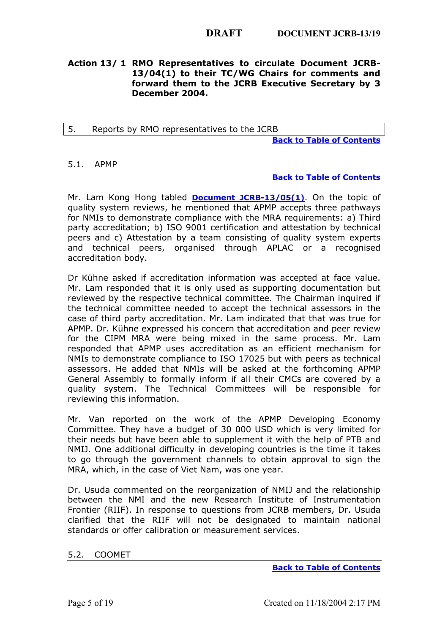# <span id="page-4-0"></span>**Action 13/ 1 RMO Representatives to circulate Document JCRB-13/04(1) to their TC/WG Chairs for comments and forward them to the JCRB Executive Secretary by 3 December 2004.**

<span id="page-4-1"></span>5. Reports by RMO representatives to the JCRB

**[Back to Table of Contents](#page-0-0)**

### 5.1. APMP

### **Back to Table of Contents**

Mr. Lam Kong Hong tabled **Document JCRB-13/05(1)**. On the topic of quality system reviews, he mentioned that APMP accepts three pathways for NMIs to demonstrate compliance with the MRA requirements: a) Third party accreditation; b) ISO 9001 certification and attestation by technical peers and c) Attestation by a team consisting of quality system experts and technical peers, organised through APLAC or a recognised accreditation body.

Dr Kühne asked if accreditation information was accepted at face value. Mr. Lam responded that it is only used as supporting documentation but reviewed by the respective technical committee. The Chairman inquired if the technical committee needed to accept the technical assessors in the case of third party accreditation. Mr. Lam indicated that that was true for APMP. Dr. Kühne expressed his concern that accreditation and peer review for the CIPM MRA were being mixed in the same process. Mr. Lam responded that APMP uses accreditation as an efficient mechanism for NMIs to demonstrate compliance to ISO 17025 but with peers as technical assessors. He added that NMIs will be asked at the forthcoming APMP General Assembly to formally inform if all their CMCs are covered by a quality system. The Technical Committees will be responsible for reviewing this information.

Mr. Van reported on the work of the APMP Developing Economy Committee. They have a budget of 30 000 USD which is very limited for their needs but have been able to supplement it with the help of PTB and NMIJ. One additional difficulty in developing countries is the time it takes to go through the government channels to obtain approval to sign the MRA, which, in the case of Viet Nam, was one year.

<span id="page-4-2"></span>Dr. Usuda commented on the reorganization of NMIJ and the relationship between the NMI and the new Research Institute of Instrumentation Frontier (RIIF). In response to questions from JCRB members, Dr. Usuda clarified that the RIIF will not be designat[ed to maintain national](#page-0-0) standards or offer calibration or measurement services.

# 5.2. COOMET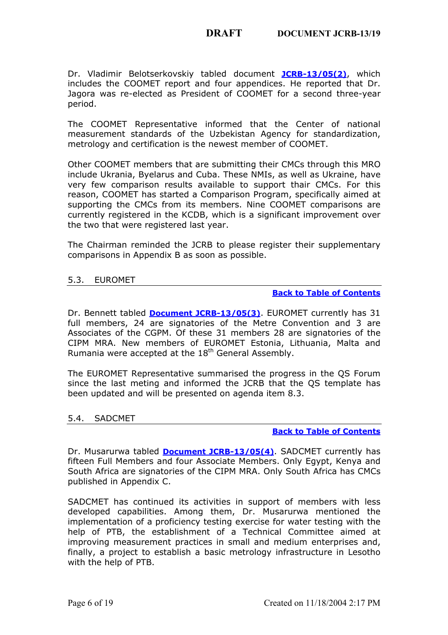Dr. Vladimir Belotserkovskiy tabled document **JCRB-13/05(2)**, which includes the COOMET report and four appendices. He reported that Dr. Jagora was re-elected as President of COOMET for a second three-year period.

The COOMET Representative informed that the Center of national measurement standards of the Uzbekistan Agency for standardization, metrology and certification is the newest member of COOMET.

Other COOMET members that are submitting their CMCs through this MRO include Ukrania, Byelarus and Cuba. These NMIs, as well as Ukraine, have very few comparison results available to support thair CMCs. For this reason, COOMET has started a Comparison Program, specifically aimed at supporting the CMCs from its members. Nine COOMET comparisons are currently registered in the KCDB, which is a significant improvement over the two that were registered last year.

<span id="page-5-0"></span>The Chairman reminded the JCRB to please re[gister their supplementary](#page-0-0) comparisons in Ap[pendix B as soon as possible](https://www.bipm.org/cc/JCRB/MeetingDocuments/13/13_05(3)_EUROMET_Report.pdf).

# 5.3. EUROMET

### **Back to Table of Contents**

Dr. Bennett tabled **Document JCRB-13/05(3)**. EUROMET currently has 31 full members, 24 are signatories of the Metre Convention and 3 are Associates of the CGPM. Of these 31 members 28 are signatories of the CIPM MRA. New members of EUROMET Estonia, Lithuania, Malta and Rumania were accepted at the 18<sup>th</sup> General Assembly.

<span id="page-5-1"></span>The EUROMET Representative summarised the progress in the QS Forum since the last meting and informed the JCRB t[hat the QS template has](#page-0-0) been updated and will [be presented on agenda ite](https://www.bipm.org/cc/JCRB/MeetingDocuments/13/13_05(4)_SADCMET_Report.pdf)m 8.3.

# 5.4. SADCMET

### **Back to Table of Contents**

Dr. Musarurwa tabled **Document JCRB-13/05(4)**. SADCMET currently has fifteen Full Members and four Associate Members. Only Egypt, Kenya and South Africa are signatories of the CIPM MRA. Only South Africa has CMCs published in Appendix C.

<span id="page-5-2"></span>SADCMET has continued its activities in support of members with less developed capabilities. Among them, Dr. Musarurwa mentioned the implementation of a proficiency testing exercise for water testing with the help of PTB, the establishment of a Technical Committee aimed at improving measurement practices in small and medium enterprises and, finally, a project to establish a basic metrology [infrastructure in Lesotho](#page-0-0) with the help of PTB.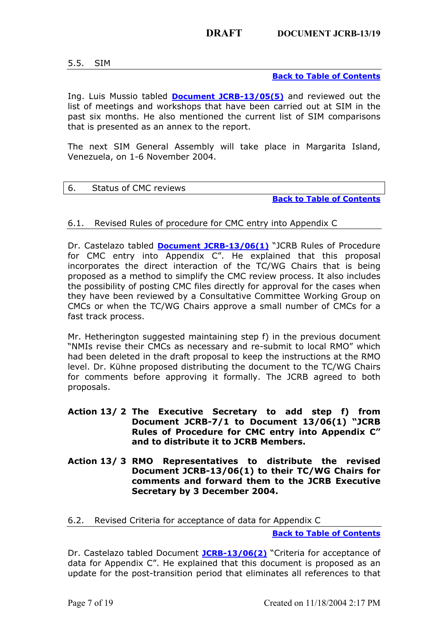5.5. SIM

**Back to Table of Contents**

Ing. Luis Mussio tabled **Document JCRB-13/05(5)** and reviewed out the list of meetings and workshops that have been carried out at SIM in the past six months. He also mentioned the current list of SIM comparisons that is presented as an annex to the report.

<span id="page-6-0"></span>The next SIM General Assembly will take place in Margarita Island, Venezuela, on 1-6 November 2004.

### <span id="page-6-1"></span>6. Status of CMC reviews

**Back to Table of Contents**

# 6.1. Revised Rules of procedure for CMC entry into Appendix C

Dr. Castelazo tabled **Document JCRB-13/06(1)** "JCRB Rules of Procedure for CMC entry into Appendix C". He explained that this proposal incorporates the direct interaction of the TC/WG Chairs that is being proposed as a method to simplify the CMC review process. It also includes the possibility of posting CMC files directly for approval for the cases when they have been reviewed by a Consultative Committee Working Group on CMCs or when the TC/WG Chairs approve a small number of CMCs for a fast track process.

Mr. Hetherington suggested maintaining step f) in the previous document "NMIs revise their CMCs as necessary and re-submit to local RMO" which had been deleted in the draft proposal to keep the instructions at the RMO level. Dr. Kühne proposed distributing the document to the TC/WG Chairs for comments before approving it formally. The JCRB agreed to both proposals.

- **Action 13/ 2 The Executive Secretary to add step f) from Document JCRB-7/1 to Document 13/06(1) "JCRB Rules of Procedure for CMC entry into Appendix C" and to distribute it to JCRB Members.**
- <span id="page-6-2"></span>**Action 13/ 3 RMO Representatives to distribute the revised Document JCRB-13/06(1) to their TC/WG Chairs for comments and forward them to the JCRB Executive Secretary by 3 December 200[4.](#page-0-0)**

# 6.2. Revised Criteria for accep[tance of data for](https://www.bipm.org/cc/JCRB/MeetingDocuments/13/13_06(2)_Criteria_for_acceptance_of_data_for_Appendix_C.pdf) Appendix C

**Back to Table of Contents**

Dr. Castelazo tabled Document **JCRB-13/06(2)** "Criteria for acceptance of data for Appendix C". He explained that this document is proposed as an update for the post-transition period that eliminates all references to that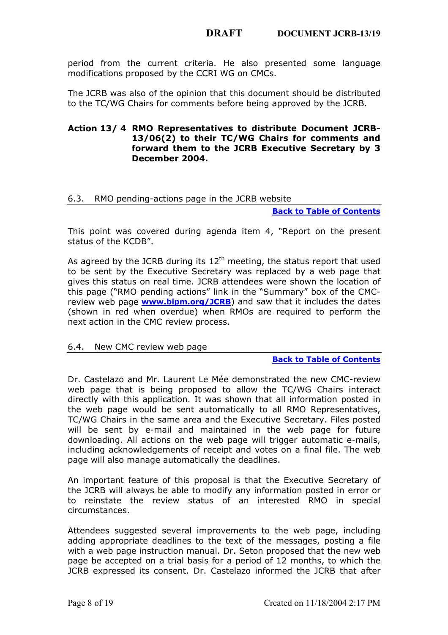period from the current criteria. He also presented some language modifications proposed by the CCRI WG on CMCs.

The JCRB was also of the opinion that this document should be distributed to the TC/WG Chairs for comments before being approved by the JCRB.

# **Action 13/ 4 RMO Representatives to distribute Document JCRB-13/06(2) to their TC/WG Chairs for comments and forward them to the JCRB Executive Secretary by 3 December 2004.**

# <span id="page-7-0"></span>6.3. RMO pending-actions page in the JCRB website

**Back to Table of Contents**

This point was covered during agenda item 4, "Report on the present status of the KCDB".

As agreed by the JCRB during its  $12<sup>th</sup>$  meeting, the status report that used to be sent by th[e Executive Secretary](https://www.bipm.org/JCRB) was replaced by a web page that gives this status on real time. JCRB attendees were shown the location of this page ("RMO pending actions" link in the "Summary" box of the CMCreview web page **www.bipm.org/JCRB**) and saw that it includes the dates (shown in red when overdue) when RMOs are required to perform the next action in the CMC review process.

# <span id="page-7-1"></span>6.4. New CMC review web page

### **Back to Table of Contents**

Dr. Castelazo and Mr. Laurent Le Mée demonstrated the new CMC-review web page that is being proposed to allow the TC/WG Chairs interact directly with this application. It was shown that all information posted in the web page would be sent automatically to all RMO Representatives, TC/WG Chairs in the same area and the Executive Secretary. Files posted will be sent by e-mail and maintained in the web page for future downloading. All actions on the web page will trigger automatic e-mails, including acknowledgements of receipt and votes on a final file. The web page will also manage automatically the deadlines.

An important feature of this proposal is that the Executive Secretary of the JCRB will always be able to modify any information posted in error or to reinstate the review status of an interested RMO in special circumstances.

Attendees suggested several improvements to the web page, including adding appropriate deadlines to the text of the messages, posting a file with a web page instruction manual. Dr. Seton proposed that the new web page be accepted on a trial basis for a period of 12 months, to which the JCRB expressed its consent. Dr. Castelazo informed the JCRB that after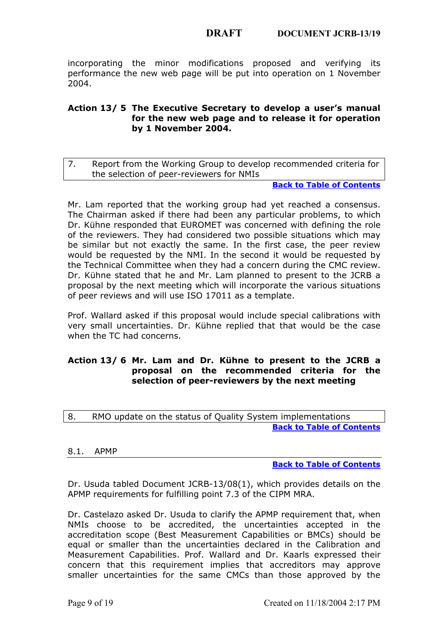incorporating the minor modifications proposed and verifying its performance the new web page will be put into operation on 1 November 2004.

# <span id="page-8-0"></span>**Action 13/ 5 The Executive Secretary to develop a user's manual for the new web page and to release it for operation by 1 November 2004.**

7. Report from the Working Group to develop recommended criteria for the selection of peer-reviewers for NMIs

**Back to Table of Contents**

Mr. Lam reported that the working group had yet reached a consensus. The Chairman asked if there had been any particular problems, to which Dr. Kühne responded that EUROMET was concerned with defining the role of the reviewers. They had considered two possible situations which may be similar but not exactly the same. In the first case, the peer review would be requested by the NMI. In the second it would be requested by the Technical Committee when they had a concern during the CMC review. Dr. Kühne stated that he and Mr. Lam planned to present to the JCRB a proposal by the next meeting which will incorporate the various situations of peer reviews and will use ISO 17011 as a template.

Prof. Wallard asked if this proposal would include special calibrations with very small uncertainties. Dr. Kühne replied that that would be the case when the TC had concerns.

# <span id="page-8-1"></span>**Action 13/ 6 Mr. Lam and Dr. Kühne to present to the JCRB a proposal on the recommended criteria for the selection of peer-reviewers by the next meeting**

<span id="page-8-2"></span>

| 8. | RMO update on the status of Quality System implementations |
|----|------------------------------------------------------------|
|    | <b>Back to Table of Contents</b>                           |

# 8.1. APMP

#### **Back to Table of Contents**

Dr. Usuda tabled Document JCRB-13/08(1), which provides details on the APMP requirements for fulfilling point 7.3 of the CIPM MRA.

Dr. Castelazo asked Dr. Usuda to clarify the APMP requirement that, when NMIs choose to be accredited, the uncertainties accepted in the accreditation scope (Best Measurement Capabilities or BMCs) should be equal or smaller than the uncertainties declared in the Calibration and Measurement Capabilities. Prof. Wallard and Dr. Kaarls expressed their concern that this requirement implies that accreditors may approve smaller uncertainties for the same CMCs than those approved by the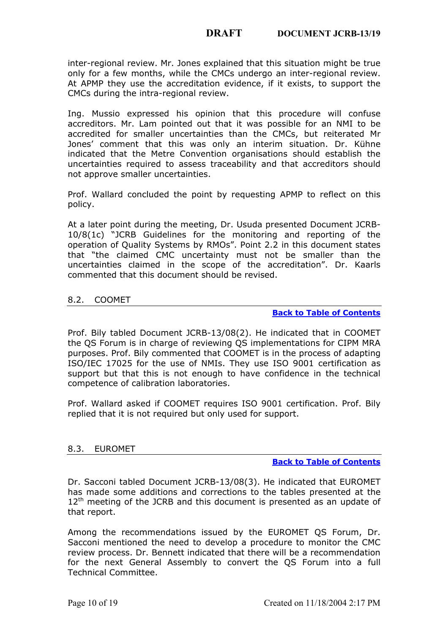inter-regional review. Mr. Jones explained that this situation might be true only for a few months, while the CMCs undergo an inter-regional review. At APMP they use the accreditation evidence, if it exists, to support the CMCs during the intra-regional review.

Ing. Mussio expressed his opinion that this procedure will confuse accreditors. Mr. Lam pointed out that it was possible for an NMI to be accredited for smaller uncertainties than the CMCs, but reiterated Mr Jones' comment that this was only an interim situation. Dr. Kühne indicated that the Metre Convention organisations should establish the uncertainties required to assess traceability and that accreditors should not approve smaller uncertainties.

Prof. Wallard concluded the point by requesting APMP to reflect on this policy.

At a later point during the meeting, Dr. Usuda presented Document JCRB-10/8(1c) "JCRB Guidelines for the monitoring and reporting of the operation of Quality Systems by RMOs". Point 2.2 in this document states that "the claimed CMC uncertainty must not be smaller than the uncertainties claimed in the scope of the accreditation". Dr. Kaarls commented that this document should be revised.

# <span id="page-9-0"></span>8.2. COOMET

# **Back to Table of Contents**

Prof. Bily tabled Document JCRB-13/08(2). He indicated that in COOMET the QS Forum is in charge of reviewing QS implementations for CIPM MRA purposes. Prof. Bily commented that COOMET is in the process of adapting ISO/IEC 17025 for the use of NMIs. They use ISO 9001 certification as support but that this is not enough to have confidence in the technical competence of calibration laboratories.

Prof. Wallard asked if COOMET requires ISO 9001 certification. Prof. Bily replied that it is not required but only used for support.

# <span id="page-9-1"></span>8.3. EUROMET

#### **Back to Table of Contents**

Dr. Sacconi tabled Document JCRB-13/08(3). He indicated that EUROMET has made some additions and corrections to the tables presented at the  $12<sup>th</sup>$  meeting of the JCRB and this document is presented as an update of that report.

Among the recommendations issued by the EUROMET QS Forum, Dr. Sacconi mentioned the need to develop a procedure to monitor the CMC review process. Dr. Bennett indicated that there will be a recommendation for the next General Assembly to convert the QS Forum into a full Technical Committee.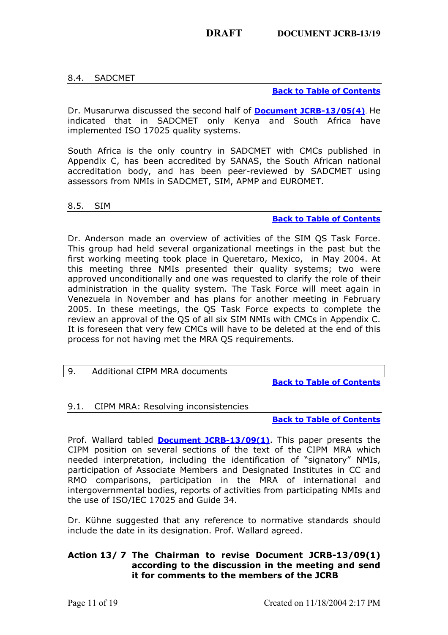# <span id="page-10-0"></span>8.4. SADCMET

# **[Back to Table of Conte](https://www.bipm.org/cc/JCRB/MeetingDocuments/13/13_05(4)_SADCMET_Report.pdf)nts**

Dr. Musarurwa discussed the second half of **Document JCRB-13/05(4)**. He indicated that in SADCMET only Kenya and South Africa have implemented ISO 17025 quality systems.

South Africa is the only country in SADCMET with CMCs published in Appendix C, has been accredited by SANAS, the South African national accreditation body, and has been peer-reviewed by SADCMET using assessors from NMIs in SADCMET, SIM, APMP and EUROMET.

### <span id="page-10-1"></span>8.5. SIM

### **Back to Table of Contents**

Dr. Anderson made an overview of activities of the SIM QS Task Force. This group had held several organizational meetings in the past but the first working meeting took place in Queretaro, Mexico, in May 2004. At this meeting three NMIs presented their quality systems; two were approved unconditionally and one was requested to clarify the role of their administration in the quality system. The Task Force will meet again in Venezuela in November and has plans for another meeting in February 2005. In these meetings, the QS Task Force expects to complete the review an approval of the QS of all six SIM NMIs with CMCs in Appendix C. It is foreseen that very few CMCs will have to be deleted at the end of this process for not having met the MRA QS requirements.

# <span id="page-10-2"></span>9. Additional CIPM MRA documents

**Back to Table of Contents**

# <span id="page-10-3"></span>9.1. CIPM MRA: Resolving inconsistencies

# **Back to Table of Contents**

Prof. Wallard tabled **Document JCRB-13/09(1)**. This paper presents the CIPM position on several sections of the text of the CIPM MRA which needed interpretation, including the identification of "signatory" NMIs, participation of Associate Members and Designated Institutes in CC and RMO comparisons, participation in the MRA of international and intergovernmental bodies, reports of activities from participating NMIs and the use of ISO/IEC 17025 and Guide 34.

Dr. Kühne suggested that any reference to normative standards should include the date in its designation. Prof. Wallard agreed.

# **Action 13/ 7 The Chairman to revise Document JCRB-13/09(1) according to the discussion in the meeting and send it for comments to the members of the JCRB**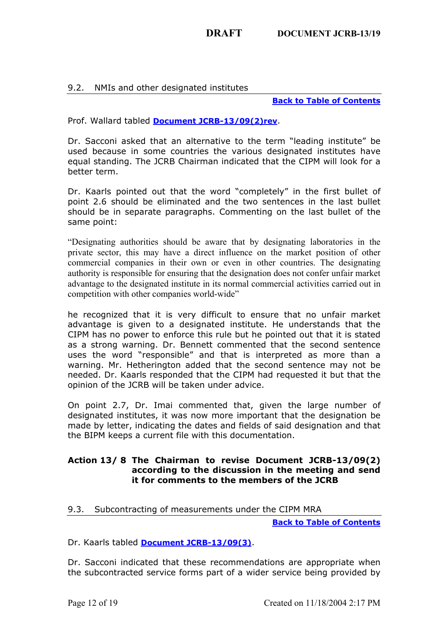# <span id="page-11-0"></span>9.2. NMIs and other designated institutes

### **Back to Table of Contents**

Prof. Wallard tabled **Document JCRB-13/09(2)rev**.

Dr. Sacconi asked that an alternative to the term "leading institute" be used because in some countries the various designated institutes have equal standing. The JCRB Chairman indicated that the CIPM will look for a better term.

Dr. Kaarls pointed out that the word "completely" in the first bullet of point 2.6 should be eliminated and the two sentences in the last bullet should be in separate paragraphs. Commenting on the last bullet of the same point:

"Designating authorities should be aware that by designating laboratories in the private sector, this may have a direct influence on the market position of other commercial companies in their own or even in other countries. The designating authority is responsible for ensuring that the designation does not confer unfair market advantage to the designated institute in its normal commercial activities carried out in competition with other companies world-wide"

he recognized that it is very difficult to ensure that no unfair market advantage is given to a designated institute. He understands that the CIPM has no power to enforce this rule but he pointed out that it is stated as a strong warning. Dr. Bennett commented that the second sentence uses the word "responsible" and that is interpreted as more than a warning. Mr. Hetherington added that the second sentence may not be needed. Dr. Kaarls responded that the CIPM had requested it but that the opinion of the JCRB will be taken under advice.

On point 2.7, Dr. Imai commented that, given the large number of designated institutes, it was now more important that the designation be made by letter, indicating the dates and fields of said designation and that the BIPM keeps a current file with this documentation.

# **Action 13/ 8 The Chairman to revise Document JCRB-13/09(2) according to the discussion in the meeting and send it for comments to the members of the JCRB**

# <span id="page-11-1"></span>9.3. Subcontracting of measurements under th[e CIPM MRA](#page-0-0)

**Back to Table of Contents**

Dr. Kaarls tabled **Document JCRB-13/09(3)**.

Dr. Sacconi indicated that these recommendations are appropriate when the subcontracted service forms part of a wider service being provided by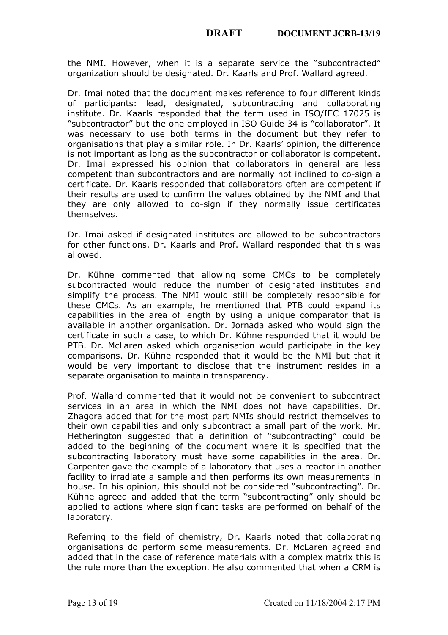the NMI. However, when it is a separate service the "subcontracted" organization should be designated. Dr. Kaarls and Prof. Wallard agreed.

Dr. Imai noted that the document makes reference to four different kinds of participants: lead, designated, subcontracting and collaborating institute. Dr. Kaarls responded that the term used in ISO/IEC 17025 is "subcontractor" but the one employed in ISO Guide 34 is "collaborator". It was necessary to use both terms in the document but they refer to organisations that play a similar role. In Dr. Kaarls' opinion, the difference is not important as long as the subcontractor or collaborator is competent. Dr. Imai expressed his opinion that collaborators in general are less competent than subcontractors and are normally not inclined to co-sign a certificate. Dr. Kaarls responded that collaborators often are competent if their results are used to confirm the values obtained by the NMI and that they are only allowed to co-sign if they normally issue certificates themselves.

Dr. Imai asked if designated institutes are allowed to be subcontractors for other functions. Dr. Kaarls and Prof. Wallard responded that this was allowed.

Dr. Kühne commented that allowing some CMCs to be completely subcontracted would reduce the number of designated institutes and simplify the process. The NMI would still be completely responsible for these CMCs. As an example, he mentioned that PTB could expand its capabilities in the area of length by using a unique comparator that is available in another organisation. Dr. Jornada asked who would sign the certificate in such a case, to which Dr. Kühne responded that it would be PTB. Dr. McLaren asked which organisation would participate in the key comparisons. Dr. Kühne responded that it would be the NMI but that it would be very important to disclose that the instrument resides in a separate organisation to maintain transparency.

Prof. Wallard commented that it would not be convenient to subcontract services in an area in which the NMI does not have capabilities. Dr. Zhagora added that for the most part NMIs should restrict themselves to their own capabilities and only subcontract a small part of the work. Mr. Hetherington suggested that a definition of "subcontracting" could be added to the beginning of the document where it is specified that the subcontracting laboratory must have some capabilities in the area. Dr. Carpenter gave the example of a laboratory that uses a reactor in another facility to irradiate a sample and then performs its own measurements in house. In his opinion, this should not be considered "subcontracting". Dr. Kühne agreed and added that the term "subcontracting" only should be applied to actions where significant tasks are performed on behalf of the laboratory.

Referring to the field of chemistry, Dr. Kaarls noted that collaborating organisations do perform some measurements. Dr. McLaren agreed and added that in the case of reference materials with a complex matrix this is the rule more than the exception. He also commented that when a CRM is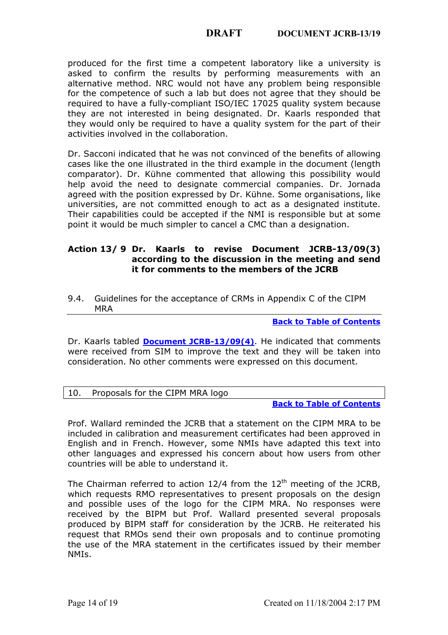produced for the first time a competent laboratory like a university is asked to confirm the results by performing measurements with an alternative method. NRC would not have any problem being responsible for the competence of such a lab but does not agree that they should be required to have a fully-compliant ISO/IEC 17025 quality system because they are not interested in being designated. Dr. Kaarls responded that they would only be required to have a quality system for the part of their activities involved in the collaboration.

Dr. Sacconi indicated that he was not convinced of the benefits of allowing cases like the one illustrated in the third example in the document (length comparator). Dr. Kühne commented that allowing this possibility would help avoid the need to designate commercial companies. Dr. Jornada agreed with the position expressed by Dr. Kühne. Some organisations, like universities, are not committed enough to act as a designated institute. Their capabilities could be accepted if the NMI is responsible but at some point it would be much simpler to cancel a CMC than a designation.

# **Action 13/ 9 Dr. Kaarls to revise Document JCRB-13/09(3) according to the discussion in the meeting and send it for comments to the members of the JCRB**

9.4. Guidelines for the acceptance of CRMs in Appendix C of the CIPM MRA

**[Back to Table of Contents](#page-0-0)**

Dr. Kaarls tabled **[Document JCRB-13/09\(4\)](https://www.bipm.org/cc/JCRB/Restricted/13/13_09(4)_CRM9.pdf)**. He indicated that comments were received from SIM to improve the text and they will be taken into consideration. No other comments were expressed on this document.

<span id="page-13-0"></span>

|  | 10. Proposals for the CIPM MRA logo |  |
|--|-------------------------------------|--|
|--|-------------------------------------|--|

#### **[Back to Table of Contents](#page-0-0)**

Prof. Wallard reminded the JCRB that a statement on the CIPM MRA to be included in calibration and measurement certificates had been approved in English and in French. However, some NMIs have adapted this text into other languages and expressed his concern about how users from other countries will be able to understand it.

The Chairman referred to action  $12/4$  from the  $12<sup>th</sup>$  meeting of the JCRB, which requests RMO representatives to present proposals on the design and possible uses of the logo for the CIPM MRA. No responses were received by the BIPM but Prof. Wallard presented several proposals produced by BIPM staff for consideration by the JCRB. He reiterated his request that RMOs send their own proposals and to continue promoting the use of the MRA statement in the certificates issued by their member NMIs.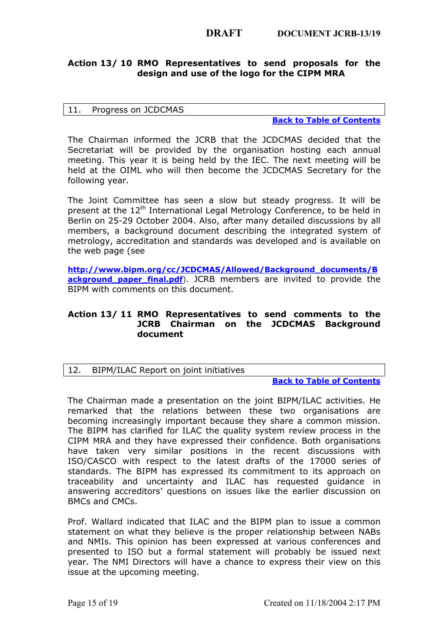# **Action 13/ 10 RMO Representatives to send proposals for the design and use of the logo for the CIPM MRA**

#### <span id="page-14-0"></span>11. Progress on JCDCMAS

#### **[Back to Table of Contents](#page-0-0)**

The Chairman informed the JCRB that the JCDCMAS decided that the Secretariat will be provided by the organisation hosting each annual meeting. This year it is being held by the IEC. The next meeting will be held at the OIML who will then become the JCDCMAS Secretary for the following year.

The Joint Committee has seen a slow but steady progress. It will be present at the 12<sup>th</sup> International Legal Metrology Conference, to be held in Berlin on 25-29 October 2004. Also, after many detailed discussions by all members, a background document describing the integrated system of metrology, accreditation and standards was developed and is available on the web page (see

**[http://www.bipm.org/cc/J](https://www.bipm.org/cc/JCDCMAS/Allowed/Background_documents/Background_paper_final.pdf)CDCMAS/Allowed/Background\_documents/B ackground paper final.pdf**). JCRB members are invited to provide the BIPM with comments on this document.

# **Action 13/ 11 RMO Representatives to send comments to the JCRB Chairman on the JCDCMAS Background document**

# <span id="page-14-1"></span>12. BIPM/ILAC Report on joint initiatives

#### **Back to Table of Contents**

The Chairman made a presentation on the joint BIPM/ILAC activities. He remarked that the relations between these two organisations are becoming increasingly important because they share a common mission. The BIPM has clarified for ILAC the quality system review process in the CIPM MRA and they have expressed their confidence. Both organisations have taken very similar positions in the recent discussions with ISO/CASCO with respect to the latest drafts of the 17000 series of standards. The BIPM has expressed its commitment to its approach on traceability and uncertainty and ILAC has requested guidance in answering accreditors' questions on issues like the earlier discussion on BMCs and CMCs.

Prof. Wallard indicated that ILAC and the BIPM plan to issue a common statement on what they believe is the proper relationship between NABs and NMIs. This opinion has been expressed at various conferences and presented to ISO but a formal statement will probably be issued next year. The NMI Directors will have a chance to express their view on this issue at the upcoming meeting.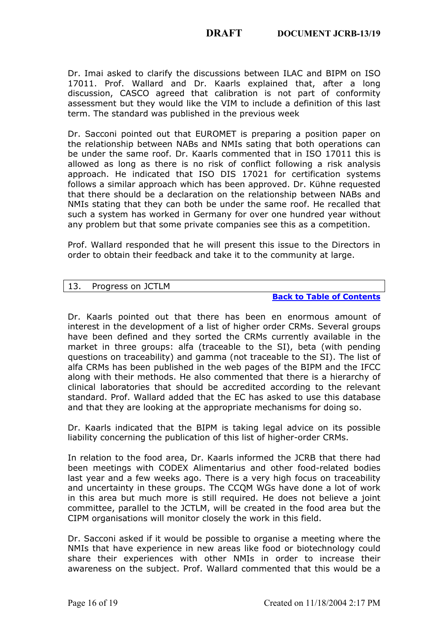Dr. Imai asked to clarify the discussions between ILAC and BIPM on ISO 17011. Prof. Wallard and Dr. Kaarls explained that, after a long discussion, CASCO agreed that calibration is not part of conformity assessment but they would like the VIM to include a definition of this last term. The standard was published in the previous week

Dr. Sacconi pointed out that EUROMET is preparing a position paper on the relationship between NABs and NMIs sating that both operations can be under the same roof. Dr. Kaarls commented that in ISO 17011 this is allowed as long as there is no risk of conflict following a risk analysis approach. He indicated that ISO DIS 17021 for certification systems follows a similar approach which has been approved. Dr. Kühne requested that there should be a declaration on the relationship between NABs and NMIs stating that they can both be under the same roof. He recalled that such a system has worked in Germany for over one hundred year without any problem but that some private companies see this as a competition.

Prof. Wallard responded that he will present this issue to the Directors in order to obtain their feedback and take it to the community at large.

### <span id="page-15-0"></span>13. Progress on JCTLM

**Back to Table of Contents**

Dr. Kaarls pointed out that there has been en enormous amount of interest in the development of a list of higher order CRMs. Several groups have been defined and they sorted the CRMs currently available in the market in three groups: alfa (traceable to the SI), beta (with pending questions on traceability) and gamma (not traceable to the SI). The list of alfa CRMs has been published in the web pages of the BIPM and the IFCC along with their methods. He also commented that there is a hierarchy of clinical laboratories that should be accredited according to the relevant standard. Prof. Wallard added that the EC has asked to use this database and that they are looking at the appropriate mechanisms for doing so.

Dr. Kaarls indicated that the BIPM is taking legal advice on its possible liability concerning the publication of this list of higher-order CRMs.

In relation to the food area, Dr. Kaarls informed the JCRB that there had been meetings with CODEX Alimentarius and other food-related bodies last year and a few weeks ago. There is a very high focus on traceability and uncertainty in these groups. The CCQM WGs have done a lot of work in this area but much more is still required. He does not believe a joint committee, parallel to the JCTLM, will be created in the food area but the CIPM organisations will monitor closely the work in this field.

Dr. Sacconi asked if it would be possible to organise a meeting where the NMIs that have experience in new areas like food or biotechnology could share their experiences with other NMIs in order to increase their awareness on the subject. Prof. Wallard commented that this would be a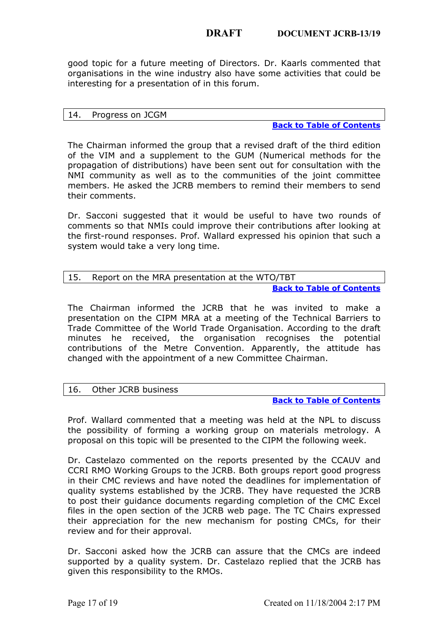good topic for a future meeting of Directors. Dr. Kaarls commented that organisations in the wine industry also have some activities that could be interesting for a presentation of in this forum.

#### <span id="page-16-0"></span>14. Progress on JCGM

#### **Back to Table of Contents**

The Chairman informed the group that a revised draft of the third edition of the VIM and a supplement to the GUM (Numerical methods for the propagation of distributions) have been sent out for consultation with the NMI community as well as to the communities of the joint committee members. He asked the JCRB members to remind their members to send their comments.

Dr. Sacconi suggested that it would be useful to have two rounds of comments so that NMIs could improve their contributions after looking at the first-round responses. Prof. Wallard expressed his opinion that such a system would take a very long time.

<span id="page-16-1"></span>

| 15. | Report on the MRA presentation at the WTO/TBT |
|-----|-----------------------------------------------|
|     | <b>Back to Table of Contents</b>              |

The Chairman informed the JCRB that he was invited to make a presentation on the CIPM MRA at a meeting of the Technical Barriers to Trade Committee of the World Trade Organisation. According to the draft minutes he received, the organisation recognises the potential contributions of the Metre Convention. Apparently, the attitude has changed with the appointment of a new Committee Chairman.

# <span id="page-16-2"></span>16. Other JCRB business

# **Back to Table of Contents**

Prof. Wallard commented that a meeting was held at the NPL to discuss the possibility of forming a working group on materials metrology. A proposal on this topic will be presented to the CIPM the following week.

Dr. Castelazo commented on the reports presented by the CCAUV and CCRI RMO Working Groups to the JCRB. Both groups report good progress in their CMC reviews and have noted the deadlines for implementation of quality systems established by the JCRB. They have requested the JCRB to post their guidance documents regarding completion of the CMC Excel files in the open section of the JCRB web page. The TC Chairs expressed their appreciation for the new mechanism for posting CMCs, for their review and for their approval.

Dr. Sacconi asked how the JCRB can assure that the CMCs are indeed supported by a quality system. Dr. Castelazo replied that the JCRB has given this responsibility to the RMOs.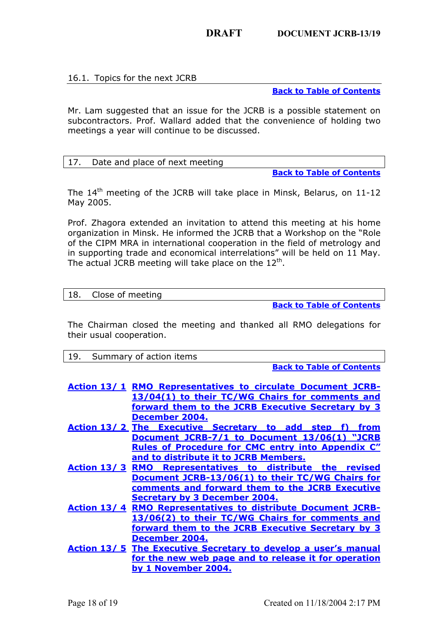# <span id="page-17-0"></span>16.1. Topics for the next JCRB

**Back to Table of Contents**

Mr. Lam suggested that an issue for the JCRB is a possible statement on subcontractors. Prof. Wallard added that the convenience of holding two meetings a year will continue to be discussed.

# <span id="page-17-1"></span>17. Date and place of next meeting

**Back to Table of Contents**

The 14<sup>th</sup> meeting of the JCRB will take place in Minsk, Belarus, on 11-12 May 2005.

Prof. Zhagora extended an invitation to attend this meeting at his home organization in Minsk. He informed the JCRB that a Workshop on the "Role of the CIPM MRA in international cooperation in the field of metrology and in supporting trade and economical interrelations" will be held on 11 May. The actual JCRB meeting will take place on the  $12<sup>th</sup>$ .

### <span id="page-17-2"></span>18. Close of meeting

**Back to Table of Contents**

<span id="page-17-3"></span>The Chairman closed the meeting and thanked all RMO delegations for their usual cooperation.

| 19. | Summary of action items |  |
|-----|-------------------------|--|
|-----|-------------------------|--|

**Back to Table of Contents**

| Action 13/1 RMO Representatives to circulate Document JCRB-           |      |
|-----------------------------------------------------------------------|------|
| 13/04(1) to their TC/WG Chairs for comments and                       |      |
| forward them to the JCRB Executive Secretary by 3                     |      |
| December 2004.                                                        |      |
| Action 13/2 The Executive Secretary to add step f)                    | from |
| Document JCRB-7/1 to Document 13/06(1) "JCRB                          |      |
| <b>Rules of Procedure for CMC entry into Appendix C"</b>              |      |
| and to distribute it to JCRB Members.                                 |      |
| Representatives to distribute the revised<br>Action 13/3 RMO          |      |
| Document JCRB-13/06(1) to their TC/WG Chairs for                      |      |
| comments and forward them to the JCRB Executive                       |      |
| <b>Secretary by 3 December 2004.</b>                                  |      |
| <b>Action 13/4 RMO Representatives to distribute Document JCRB-</b>   |      |
| 13/06(2) to their TC/WG Chairs for comments and                       |      |
| forward them to the JCRB Executive Secretary by 3                     |      |
| December 2004.                                                        |      |
| <b>Action 13/5 The Executive Secretary to develop a user's manual</b> |      |
| for the new web page and to release it for operation                  |      |
| by 1 November 2004.                                                   |      |